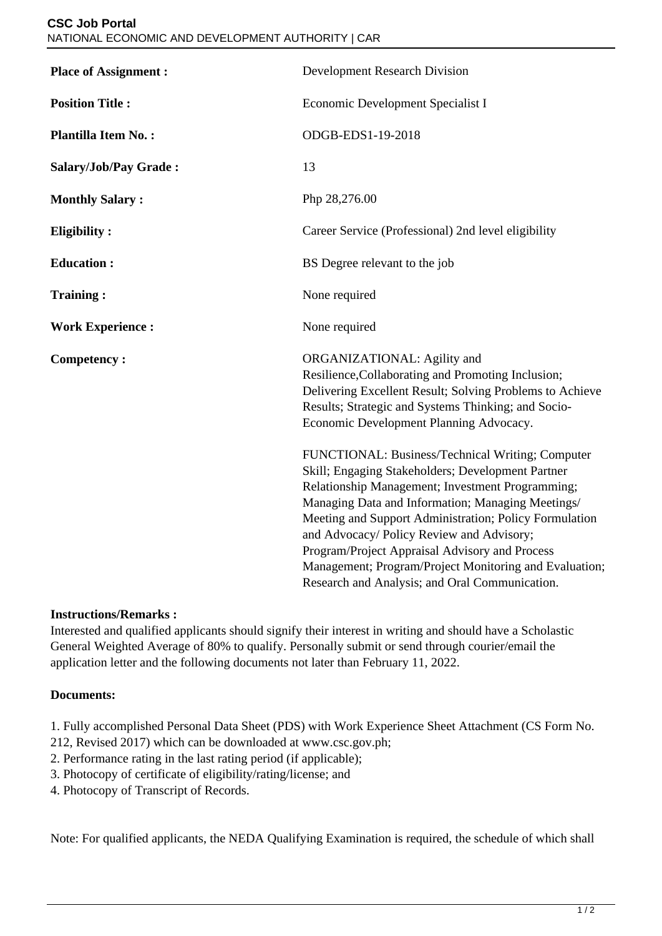| <b>Place of Assignment:</b> | <b>Development Research Division</b>                                                                                                                                                                                                                                                                                                                                                                                                                                                |
|-----------------------------|-------------------------------------------------------------------------------------------------------------------------------------------------------------------------------------------------------------------------------------------------------------------------------------------------------------------------------------------------------------------------------------------------------------------------------------------------------------------------------------|
| <b>Position Title:</b>      | Economic Development Specialist I                                                                                                                                                                                                                                                                                                                                                                                                                                                   |
| <b>Plantilla Item No.:</b>  | ODGB-EDS1-19-2018                                                                                                                                                                                                                                                                                                                                                                                                                                                                   |
| Salary/Job/Pay Grade:       | 13                                                                                                                                                                                                                                                                                                                                                                                                                                                                                  |
| <b>Monthly Salary:</b>      | Php 28,276.00                                                                                                                                                                                                                                                                                                                                                                                                                                                                       |
| <b>Eligibility:</b>         | Career Service (Professional) 2nd level eligibility                                                                                                                                                                                                                                                                                                                                                                                                                                 |
| <b>Education:</b>           | BS Degree relevant to the job                                                                                                                                                                                                                                                                                                                                                                                                                                                       |
| <b>Training:</b>            | None required                                                                                                                                                                                                                                                                                                                                                                                                                                                                       |
| <b>Work Experience:</b>     | None required                                                                                                                                                                                                                                                                                                                                                                                                                                                                       |
| <b>Competency:</b>          | ORGANIZATIONAL: Agility and<br>Resilience, Collaborating and Promoting Inclusion;<br>Delivering Excellent Result; Solving Problems to Achieve<br>Results; Strategic and Systems Thinking; and Socio-<br>Economic Development Planning Advocacy.                                                                                                                                                                                                                                     |
|                             | FUNCTIONAL: Business/Technical Writing; Computer<br>Skill; Engaging Stakeholders; Development Partner<br>Relationship Management; Investment Programming;<br>Managing Data and Information; Managing Meetings/<br>Meeting and Support Administration; Policy Formulation<br>and Advocacy/ Policy Review and Advisory;<br>Program/Project Appraisal Advisory and Process<br>Management; Program/Project Monitoring and Evaluation;<br>Research and Analysis; and Oral Communication. |

## **Instructions/Remarks :**

Interested and qualified applicants should signify their interest in writing and should have a Scholastic General Weighted Average of 80% to qualify. Personally submit or send through courier/email the application letter and the following documents not later than February 11, 2022.

## **Documents:**

1. Fully accomplished Personal Data Sheet (PDS) with Work Experience Sheet Attachment (CS Form No.

212, Revised 2017) which can be downloaded at www.csc.gov.ph;

- 2. Performance rating in the last rating period (if applicable);
- 3. Photocopy of certificate of eligibility/rating/license; and
- 4. Photocopy of Transcript of Records.

Note: For qualified applicants, the NEDA Qualifying Examination is required, the schedule of which shall